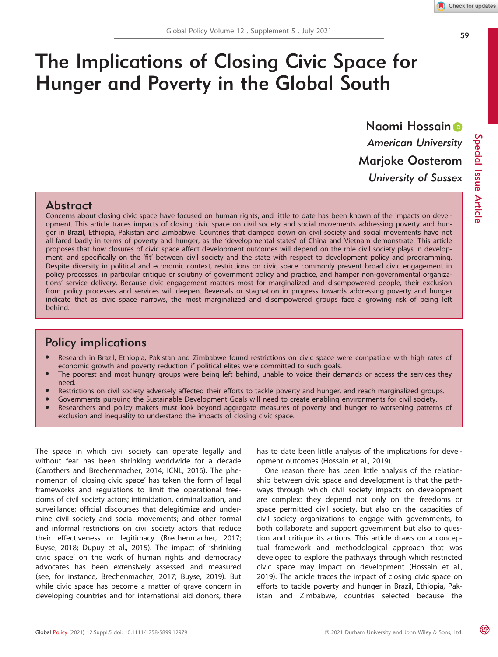Special Issue

Article

# The Implications of Closing Civic Space for Hunger and Poverty in the Global South

Naomi Hossai[n](https://orcid.org/0000-0002-3244-2319) American University Marjoke Oosterom University of Sussex

# Abstract

Concerns about closing civic space have focused on human rights, and little to date has been known of the impacts on development. This article traces impacts of closing civic space on civil society and social movements addressing poverty and hunger in Brazil, Ethiopia, Pakistan and Zimbabwe. Countries that clamped down on civil society and social movements have not all fared badly in terms of poverty and hunger, as the 'developmental states' of China and Vietnam demonstrate. This article proposes that how closures of civic space affect development outcomes will depend on the role civil society plays in development, and specifically on the 'fit' between civil society and the state with respect to development policy and programming. Despite diversity in political and economic context, restrictions on civic space commonly prevent broad civic engagement in policy processes, in particular critique or scrutiny of government policy and practice, and hamper non-governmental organizations' service delivery. Because civic engagement matters most for marginalized and disempowered people, their exclusion from policy processes and services will deepen. Reversals or stagnation in progress towards addressing poverty and hunger indicate that as civic space narrows, the most marginalized and disempowered groups face a growing risk of being left behind.

# Policy implications

- Research in Brazil, Ethiopia, Pakistan and Zimbabwe found restrictions on civic space were compatible with high rates of economic growth and poverty reduction if political elites were committed to such goals.
- The poorest and most hungry groups were being left behind, unable to voice their demands or access the services they need.
- Restrictions on civil society adversely affected their efforts to tackle poverty and hunger, and reach marginalized groups.
- Governments pursuing the Sustainable Development Goals will need to create enabling environments for civil society.
- Researchers and policy makers must look beyond aggregate measures of poverty and hunger to worsening patterns of exclusion and inequality to understand the impacts of closing civic space.

The space in which civil society can operate legally and without fear has been shrinking worldwide for a decade (Carothers and Brechenmacher, 2014; ICNL, 2016). The phenomenon of 'closing civic space' has taken the form of legal frameworks and regulations to limit the operational freedoms of civil society actors; intimidation, criminalization, and surveillance; official discourses that delegitimize and undermine civil society and social movements; and other formal and informal restrictions on civil society actors that reduce their effectiveness or legitimacy (Brechenmacher, 2017; Buyse, 2018; Dupuy et al., 2015). The impact of 'shrinking civic space' on the work of human rights and democracy advocates has been extensively assessed and measured (see, for instance, Brechenmacher, 2017; Buyse, 2019). But while civic space has become a matter of grave concern in developing countries and for international aid donors, there

has to date been little analysis of the implications for development outcomes (Hossain et al., 2019).

One reason there has been little analysis of the relationship between civic space and development is that the pathways through which civil society impacts on development are complex: they depend not only on the freedoms or space permitted civil society, but also on the capacities of civil society organizations to engage with governments, to both collaborate and support government but also to question and critique its actions. This article draws on a conceptual framework and methodological approach that was developed to explore the pathways through which restricted civic space may impact on development (Hossain et al., 2019). The article traces the impact of closing civic space on efforts to tackle poverty and hunger in Brazil, Ethiopia, Pakistan and Zimbabwe, countries selected because the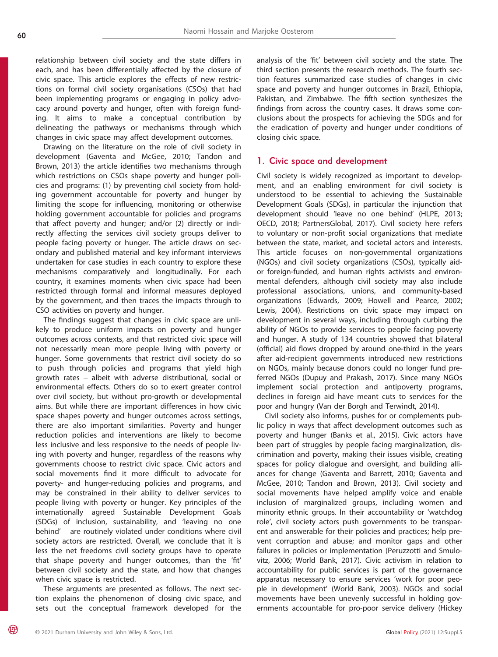relationship between civil society and the state differs in each, and has been differentially affected by the closure of civic space. This article explores the effects of new restrictions on formal civil society organisations (CSOs) that had been implementing programs or engaging in policy advocacy around poverty and hunger, often with foreign funding. It aims to make a conceptual contribution by delineating the pathways or mechanisms through which changes in civic space may affect development outcomes.

Drawing on the literature on the role of civil society in development (Gaventa and McGee, 2010; Tandon and Brown, 2013) the article identifies two mechanisms through which restrictions on CSOs shape poverty and hunger policies and programs: (1) by preventing civil society from holding government accountable for poverty and hunger by limiting the scope for influencing, monitoring or otherwise holding government accountable for policies and programs that affect poverty and hunger; and/or (2) directly or indirectly affecting the services civil society groups deliver to people facing poverty or hunger. The article draws on secondary and published material and key informant interviews undertaken for case studies in each country to explore these mechanisms comparatively and longitudinally. For each country, it examines moments when civic space had been restricted through formal and informal measures deployed by the government, and then traces the impacts through to CSO activities on poverty and hunger.

The findings suggest that changes in civic space are unlikely to produce uniform impacts on poverty and hunger outcomes across contexts, and that restricted civic space will not necessarily mean more people living with poverty or hunger. Some governments that restrict civil society do so to push through policies and programs that yield high growth rates – albeit with adverse distributional, social or environmental effects. Others do so to exert greater control over civil society, but without pro-growth or developmental aims. But while there are important differences in how civic space shapes poverty and hunger outcomes across settings, there are also important similarities. Poverty and hunger reduction policies and interventions are likely to become less inclusive and less responsive to the needs of people living with poverty and hunger, regardless of the reasons why governments choose to restrict civic space. Civic actors and social movements find it more difficult to advocate for poverty- and hunger-reducing policies and programs, and may be constrained in their ability to deliver services to people living with poverty or hunger. Key principles of the internationally agreed Sustainable Development Goals (SDGs) of inclusion, sustainability, and 'leaving no one behind' – are routinely violated under conditions where civil society actors are restricted. Overall, we conclude that it is less the net freedoms civil society groups have to operate that shape poverty and hunger outcomes, than the 'fit' between civil society and the state, and how that changes when civic space is restricted.

These arguments are presented as follows. The next section explains the phenomenon of closing civic space, and sets out the conceptual framework developed for the analysis of the 'fit' between civil society and the state. The third section presents the research methods. The fourth section features summarized case studies of changes in civic space and poverty and hunger outcomes in Brazil, Ethiopia, Pakistan, and Zimbabwe. The fifth section synthesizes the findings from across the country cases. It draws some conclusions about the prospects for achieving the SDGs and for the eradication of poverty and hunger under conditions of closing civic space.

#### 1. Civic space and development

Civil society is widely recognized as important to development, and an enabling environment for civil society is understood to be essential to achieving the Sustainable Development Goals (SDGs), in particular the injunction that development should 'leave no one behind' (HLPE, 2013; OECD, 2018; PartnersGlobal, 2017). Civil society here refers to voluntary or non-profit social organizations that mediate between the state, market, and societal actors and interests. This article focuses on non-governmental organizations (NGOs) and civil society organizations (CSOs), typically aidor foreign-funded, and human rights activists and environmental defenders, although civil society may also include professional associations, unions, and community-based organizations (Edwards, 2009; Howell and Pearce, 2002; Lewis, 2004). Restrictions on civic space may impact on development in several ways, including through curbing the ability of NGOs to provide services to people facing poverty and hunger. A study of 134 countries showed that bilateral (official) aid flows dropped by around one-third in the years after aid-recipient governments introduced new restrictions on NGOs, mainly because donors could no longer fund preferred NGOs (Dupuy and Prakash, 2017). Since many NGOs implement social protection and antipoverty programs, declines in foreign aid have meant cuts to services for the poor and hungry (Van der Borgh and Terwindt, 2014).

Civil society also informs, pushes for or complements public policy in ways that affect development outcomes such as poverty and hunger (Banks et al., 2015). Civic actors have been part of struggles by people facing marginalization, discrimination and poverty, making their issues visible, creating spaces for policy dialogue and oversight, and building alliances for change (Gaventa and Barrett, 2010; Gaventa and McGee, 2010; Tandon and Brown, 2013). Civil society and social movements have helped amplify voice and enable inclusion of marginalized groups, including women and minority ethnic groups. In their accountability or 'watchdog role', civil society actors push governments to be transparent and answerable for their policies and practices; help prevent corruption and abuse; and monitor gaps and other failures in policies or implementation (Peruzzotti and Smulovitz, 2006; World Bank, 2017). Civic activism in relation to accountability for public services is part of the governance apparatus necessary to ensure services 'work for poor people in development' (World Bank, 2003). NGOs and social movements have been unevenly successful in holding governments accountable for pro-poor service delivery (Hickey

(QP)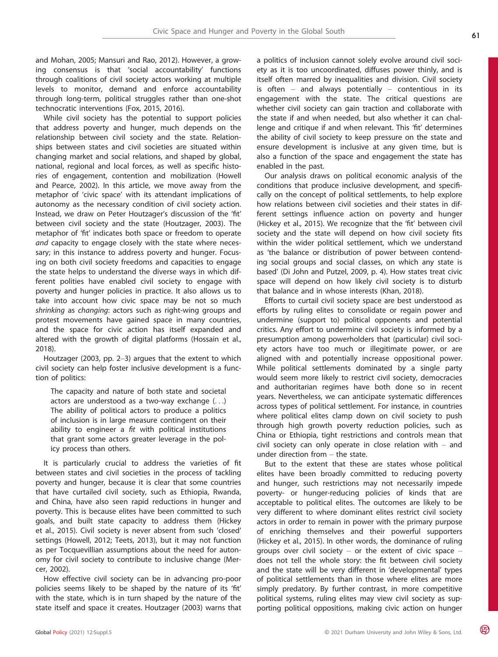icy process than others.

cer, 2002). How effective civil society can be in advancing pro-poor policies seems likely to be shaped by the nature of its 'fit' with the state, which is in turn shaped by the nature of the state itself and space it creates. Houtzager (2003) warns that

omy for civil society to contribute to inclusive change (Mer-

and Mohan, 2005; Mansuri and Rao, 2012). However, a growing consensus is that 'social accountability' functions through coalitions of civil society actors working at multiple levels to monitor, demand and enforce accountability through long-term, political struggles rather than one-shot

While civil society has the potential to support policies that address poverty and hunger, much depends on the relationship between civil society and the state. Relationships between states and civil societies are situated within changing market and social relations, and shaped by global, national, regional and local forces, as well as specific histories of engagement, contention and mobilization (Howell and Pearce, 2002). In this article, we move away from the metaphor of 'civic space' with its attendant implications of autonomy as the necessary condition of civil society action. Instead, we draw on Peter Houtzager's discussion of the 'fit' between civil society and the state (Houtzager, 2003). The metaphor of 'fit' indicates both space or freedom to operate and capacity to engage closely with the state where necessary; in this instance to address poverty and hunger. Focusing on both civil society freedoms and capacities to engage the state helps to understand the diverse ways in which different polities have enabled civil society to engage with poverty and hunger policies in practice. It also allows us to take into account how civic space may be not so much shrinking as changing: actors such as right-wing groups and protest movements have gained space in many countries, and the space for civic action has itself expanded and altered with the growth of digital platforms (Hossain et al.,

Houtzager (2003, pp. 2–3) argues that the extent to which civil society can help foster inclusive development is a func-

The capacity and nature of both state and societal actors are understood as a two-way exchange (...) The ability of political actors to produce a politics of inclusion is in large measure contingent on their ability to engineer a  $fit$  with political institutions that grant some actors greater leverage in the pol-

It is particularly crucial to address the varieties of fit between states and civil societies in the process of tackling poverty and hunger, because it is clear that some countries that have curtailed civil society, such as Ethiopia, Rwanda, and China, have also seen rapid reductions in hunger and poverty. This is because elites have been committed to such goals, and built state capacity to address them (Hickey et al., 2015). Civil society is never absent from such 'closed'

technocratic interventions (Fox, 2015, 2016).

a politics of inclusion cannot solely evolve around civil society as it is too uncoordinated, diffuses power thinly, and is itself often marred by inequalities and division. Civil society is often – and always potentially – contentious in its engagement with the state. The critical questions are whether civil society can gain traction and collaborate with the state if and when needed, but also whether it can challenge and critique if and when relevant. This 'fit' determines the ability of civil society to keep pressure on the state and ensure development is inclusive at any given time, but is also a function of the space and engagement the state has enabled in the past.

Our analysis draws on political economic analysis of the conditions that produce inclusive development, and specifically on the concept of political settlements, to help explore how relations between civil societies and their states in different settings influence action on poverty and hunger (Hickey et al., 2015). We recognize that the 'fit' between civil society and the state will depend on how civil society fits within the wider political settlement, which we understand as 'the balance or distribution of power between contending social groups and social classes, on which any state is based' (Di John and Putzel, 2009, p. 4). How states treat civic space will depend on how likely civil society is to disturb that balance and in whose interests (Khan, 2018).

Efforts to curtail civil society space are best understood as efforts by ruling elites to consolidate or regain power and undermine (support to) political opponents and potential critics. Any effort to undermine civil society is informed by a presumption among powerholders that (particular) civil society actors have too much or illegitimate power, or are aligned with and potentially increase oppositional power. While political settlements dominated by a single party would seem more likely to restrict civil society, democracies and authoritarian regimes have both done so in recent years. Nevertheless, we can anticipate systematic differences across types of political settlement. For instance, in countries where political elites clamp down on civil society to push through high growth poverty reduction policies, such as China or Ethiopia, tight restrictions and controls mean that civil society can only operate in close relation with – and under direction from – the state.

But to the extent that these are states whose political elites have been broadly committed to reducing poverty and hunger, such restrictions may not necessarily impede poverty- or hunger-reducing policies of kinds that are acceptable to political elites. The outcomes are likely to be very different to where dominant elites restrict civil society actors in order to remain in power with the primary purpose of enriching themselves and their powerful supporters (Hickey et al., 2015). In other words, the dominance of ruling groups over civil society  $-$  or the extent of civic space  $$ does not tell the whole story: the fit between civil society and the state will be very different in 'developmental' types of political settlements than in those where elites are more simply predatory. By further contrast, in more competitive political systems, ruling elites may view civil society as supporting political oppositions, making civic action on hunger

2018).

tion of politics: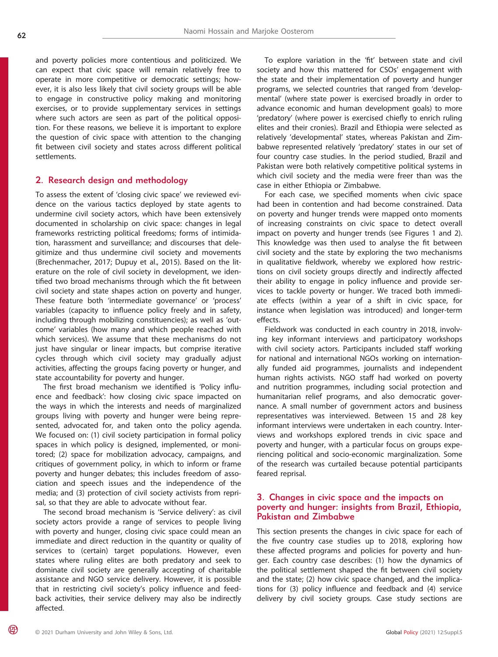and poverty policies more contentious and politicized. We can expect that civic space will remain relatively free to operate in more competitive or democratic settings; however, it is also less likely that civil society groups will be able to engage in constructive policy making and monitoring exercises, or to provide supplementary services in settings where such actors are seen as part of the political opposition. For these reasons, we believe it is important to explore the question of civic space with attention to the changing fit between civil society and states across different political settlements.

# 2. Research design and methodology

To assess the extent of 'closing civic space' we reviewed evidence on the various tactics deployed by state agents to undermine civil society actors, which have been extensively documented in scholarship on civic space: changes in legal frameworks restricting political freedoms; forms of intimidation, harassment and surveillance; and discourses that delegitimize and thus undermine civil society and movements (Brechenmacher, 2017; Dupuy et al., 2015). Based on the literature on the role of civil society in development, we identified two broad mechanisms through which the fit between civil society and state shapes action on poverty and hunger. These feature both 'intermediate governance' or 'process' variables (capacity to influence policy freely and in safety, including through mobilizing constituencies); as well as 'outcome' variables (how many and which people reached with which services). We assume that these mechanisms do not just have singular or linear impacts, but comprise iterative cycles through which civil society may gradually adjust activities, affecting the groups facing poverty or hunger, and state accountability for poverty and hunger.

The first broad mechanism we identified is 'Policy influence and feedback': how closing civic space impacted on the ways in which the interests and needs of marginalized groups living with poverty and hunger were being represented, advocated for, and taken onto the policy agenda. We focused on: (1) civil society participation in formal policy spaces in which policy is designed, implemented, or monitored; (2) space for mobilization advocacy, campaigns, and critiques of government policy, in which to inform or frame poverty and hunger debates; this includes freedom of association and speech issues and the independence of the media; and (3) protection of civil society activists from reprisal, so that they are able to advocate without fear.

The second broad mechanism is 'Service delivery': as civil society actors provide a range of services to people living with poverty and hunger, closing civic space could mean an immediate and direct reduction in the quantity or quality of services to (certain) target populations. However, even states where ruling elites are both predatory and seek to dominate civil society are generally accepting of charitable assistance and NGO service delivery. However, it is possible that in restricting civil society's policy influence and feedback activities, their service delivery may also be indirectly affected.

To explore variation in the 'fit' between state and civil society and how this mattered for CSOs' engagement with the state and their implementation of poverty and hunger programs, we selected countries that ranged from 'developmental' (where state power is exercised broadly in order to advance economic and human development goals) to more 'predatory' (where power is exercised chiefly to enrich ruling elites and their cronies). Brazil and Ethiopia were selected as relatively 'developmental' states, whereas Pakistan and Zimbabwe represented relatively 'predatory' states in our set of four country case studies. In the period studied, Brazil and Pakistan were both relatively competitive political systems in which civil society and the media were freer than was the case in either Ethiopia or Zimbabwe.

For each case, we specified moments when civic space had been in contention and had become constrained. Data on poverty and hunger trends were mapped onto moments of increasing constraints on civic space to detect overall impact on poverty and hunger trends (see Figures 1 and 2). This knowledge was then used to analyse the fit between civil society and the state by exploring the two mechanisms in qualitative fieldwork, whereby we explored how restrictions on civil society groups directly and indirectly affected their ability to engage in policy influence and provide services to tackle poverty or hunger. We traced both immediate effects (within a year of a shift in civic space, for instance when legislation was introduced) and longer-term effects.

Fieldwork was conducted in each country in 2018, involving key informant interviews and participatory workshops with civil society actors. Participants included staff working for national and international NGOs working on internationally funded aid programmes, journalists and independent human rights activists. NGO staff had worked on poverty and nutrition programmes, including social protection and humanitarian relief programs, and also democratic governance. A small number of government actors and business representatives was interviewed. Between 15 and 28 key informant interviews were undertaken in each country. Interviews and workshops explored trends in civic space and poverty and hunger, with a particular focus on groups experiencing political and socio-economic marginalization. Some of the research was curtailed because potential participants feared reprisal.

# 3. Changes in civic space and the impacts on poverty and hunger: insights from Brazil, Ethiopia, Pakistan and Zimbabwe

This section presents the changes in civic space for each of the five country case studies up to 2018, exploring how these affected programs and policies for poverty and hunger. Each country case describes: (1) how the dynamics of the political settlement shaped the fit between civil society and the state; (2) how civic space changed, and the implications for (3) policy influence and feedback and (4) service delivery by civil society groups. Case study sections are

**OP)**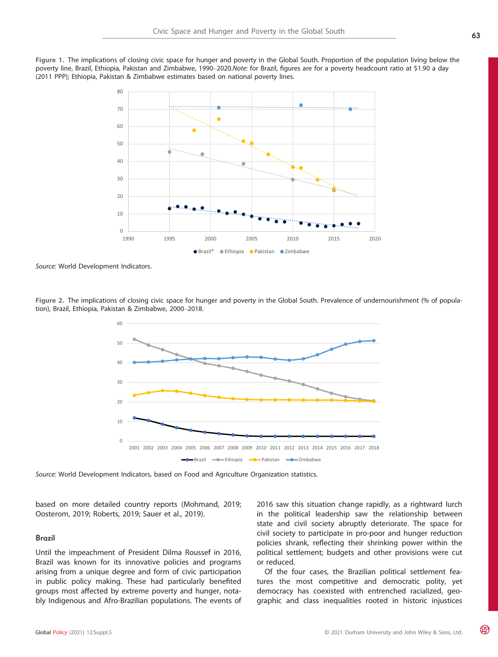Figure 1. The implications of closing civic space for hunger and poverty in the Global South. Proportion of the population living below the poverty line, Brazil, Ethiopia, Pakistan and Zimbabwe, 1990–2020.Note: for Brazil, figures are for a poverty headcount ratio at \$1.90 a day (2011 PPP); Ethiopia, Pakistan & Zimbabwe estimates based on national poverty lines.



Source: World Development Indicators.

Figure 2. The implications of closing civic space for hunger and poverty in the Global South. Prevalence of undernourishment (% of population), Brazil, Ethiopia, Pakistan & Zimbabwe, 2000–2018.



Source: World Development Indicators, based on Food and Agriculture Organization statistics.

based on more detailed country reports (Mohmand, 2019; Oosterom, 2019; Roberts, 2019; Sauer et al., 2019).

#### Brazil

Until the impeachment of President Dilma Roussef in 2016, Brazil was known for its innovative policies and programs arising from a unique degree and form of civic participation in public policy making. These had particularly benefited groups most affected by extreme poverty and hunger, notably Indigenous and Afro-Brazilian populations. The events of 2016 saw this situation change rapidly, as a rightward lurch in the political leadership saw the relationship between state and civil society abruptly deteriorate. The space for civil society to participate in pro-poor and hunger reduction policies shrank, reflecting their shrinking power within the political settlement; budgets and other provisions were cut or reduced.

Of the four cases, the Brazilian political settlement features the most competitive and democratic polity, yet democracy has coexisted with entrenched racialized, geographic and class inequalities rooted in historic injustices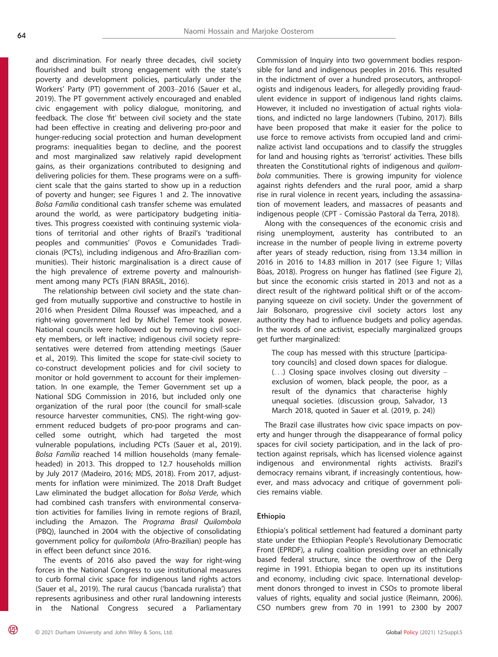and discrimination. For nearly three decades, civil society flourished and built strong engagement with the state's poverty and development policies, particularly under the Workers' Party (PT) government of 2003–2016 (Sauer et al., 2019). The PT government actively encouraged and enabled civic engagement with policy dialogue, monitoring, and feedback. The close 'fit' between civil society and the state had been effective in creating and delivering pro-poor and hunger-reducing social protection and human development programs: inequalities began to decline, and the poorest and most marginalized saw relatively rapid development gains, as their organizations contributed to designing and delivering policies for them. These programs were on a sufficient scale that the gains started to show up in a reduction of poverty and hunger; see Figures 1 and 2. The innovative Bolsa Família conditional cash transfer scheme was emulated around the world, as were participatory budgeting initiatives. This progress coexisted with continuing systemic violations of territorial and other rights of Brazil's 'traditional peoples and communities' (Povos e Comunidades Tradicionais (PCTs), including indigenous and Afro-Brazilian communities). Their historic marginalisation is a direct cause of the high prevalence of extreme poverty and malnourishment among many PCTs (FIAN BRASIL, 2016).

The relationship between civil society and the state changed from mutually supportive and constructive to hostile in 2016 when President Dilma Roussef was impeached, and a right-wing government led by Michel Temer took power. National councils were hollowed out by removing civil society members, or left inactive; indigenous civil society representatives were deterred from attending meetings (Sauer et al., 2019). This limited the scope for state-civil society to co-construct development policies and for civil society to monitor or hold government to account for their implementation. In one example, the Temer Government set up a National SDG Commission in 2016, but included only one organization of the rural poor (the council for small-scale resource harvester communities, CNS). The right-wing government reduced budgets of pro-poor programs and cancelled some outright, which had targeted the most vulnerable populations, including PCTs (Sauer et al., 2019). Bolsa Família reached 14 million households (many femaleheaded) in 2013. This dropped to 12.7 households million by July 2017 (Madeiro, 2016; MDS, 2018). From 2017, adjustments for inflation were minimized. The 2018 Draft Budget Law eliminated the budget allocation for Bolsa Verde, which had combined cash transfers with environmental conservation activities for families living in remote regions of Brazil, including the Amazon. The Programa Brasil Quilombola (PBQ), launched in 2004 with the objective of consolidating government policy for quilombola (Afro-Brazilian) people has in effect been defunct since 2016.

The events of 2016 also paved the way for right-wing forces in the National Congress to use institutional measures to curb formal civic space for indigenous land rights actors (Sauer et al., 2019). The rural caucus ('bancada ruralista') that represents agribusiness and other rural landowning interests in the National Congress secured a Parliamentary

(QP)

Commission of Inquiry into two government bodies responsible for land and indigenous peoples in 2016. This resulted in the indictment of over a hundred prosecutors, anthropologists and indigenous leaders, for allegedly providing fraudulent evidence in support of indigenous land rights claims. However, it included no investigation of actual rights violations, and indicted no large landowners (Tubino, 2017). Bills have been proposed that make it easier for the police to use force to remove activists from occupied land and criminalize activist land occupations and to classify the struggles for land and housing rights as 'terrorist' activities. These bills threaten the Constitutional rights of indigenous and quilombola communities. There is growing impunity for violence against rights defenders and the rural poor, amid a sharp rise in rural violence in recent years, including the assassination of movement leaders, and massacres of peasants and indigenous people (CPT - Comissão Pastoral da Terra, 2018).

Along with the consequences of the economic crisis and rising unemployment, austerity has contributed to an increase in the number of people living in extreme poverty after years of steady reduction, rising from 13.34 million in 2016 in 2016 to 14.83 million in 2017 (see Figure 1; Villas Bôas, 2018). Progress on hunger has flatlined (see Figure 2), but since the economic crisis started in 2013 and not as a direct result of the rightward political shift or of the accompanying squeeze on civil society. Under the government of Jair Bolsonaro, progressive civil society actors lost any authority they had to influence budgets and policy agendas. In the words of one activist, especially marginalized groups get further marginalized:

The coup has messed with this structure [participatory councils] and closed down spaces for dialogue. (...) Closing space involves closing out diversity – exclusion of women, black people, the poor, as a result of the dynamics that characterise highly unequal societies. (discussion group, Salvador, 13 March 2018, quoted in Sauer et al. (2019, p. 24))

The Brazil case illustrates how civic space impacts on poverty and hunger through the disappearance of formal policy spaces for civil society participation, and in the lack of protection against reprisals, which has licensed violence against indigenous and environmental rights activists. Brazil's democracy remains vibrant, if increasingly contentious, however, and mass advocacy and critique of government policies remains viable.

#### Ethiopia

Ethiopia's political settlement had featured a dominant party state under the Ethiopian People's Revolutionary Democratic Front (EPRDF), a ruling coalition presiding over an ethnically based federal structure, since the overthrow of the Derg regime in 1991. Ethiopia began to open up its institutions and economy, including civic space. International development donors thronged to invest in CSOs to promote liberal values of rights, equality and social justice (Reimann, 2006). CSO numbers grew from 70 in 1991 to 2300 by 2007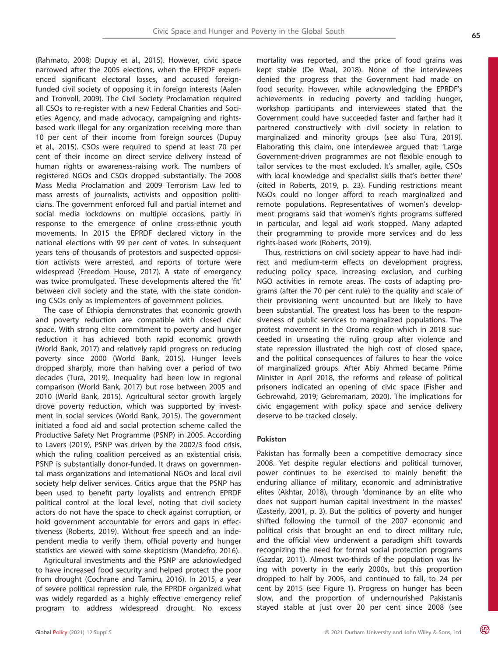(Rahmato, 2008; Dupuy et al., 2015). However, civic space narrowed after the 2005 elections, when the EPRDF experienced significant electoral losses, and accused foreignfunded civil society of opposing it in foreign interests (Aalen and Tronvoll, 2009). The Civil Society Proclamation required all CSOs to re-register with a new Federal Charities and Societies Agency, and made advocacy, campaigning and rightsbased work illegal for any organization receiving more than 10 per cent of their income from foreign sources (Dupuy et al., 2015). CSOs were required to spend at least 70 per cent of their income on direct service delivery instead of human rights or awareness-raising work. The numbers of registered NGOs and CSOs dropped substantially. The 2008 Mass Media Proclamation and 2009 Terrorism Law led to mass arrests of journalists, activists and opposition politicians. The government enforced full and partial internet and social media lockdowns on multiple occasions, partly in response to the emergence of online cross-ethnic youth movements. In 2015 the EPRDF declared victory in the national elections with 99 per cent of votes. In subsequent years tens of thousands of protestors and suspected opposition activists were arrested, and reports of torture were widespread (Freedom House, 2017). A state of emergency was twice promulgated. These developments altered the 'fit' between civil society and the state, with the state condoning CSOs only as implementers of government policies.

The case of Ethiopia demonstrates that economic growth and poverty reduction are compatible with closed civic space. With strong elite commitment to poverty and hunger reduction it has achieved both rapid economic growth (World Bank, 2017) and relatively rapid progress on reducing poverty since 2000 (World Bank, 2015). Hunger levels dropped sharply, more than halving over a period of two decades (Tura, 2019). Inequality had been low in regional comparison (World Bank, 2017) but rose between 2005 and 2010 (World Bank, 2015). Agricultural sector growth largely drove poverty reduction, which was supported by investment in social services (World Bank, 2015). The government initiated a food aid and social protection scheme called the Productive Safety Net Programme (PSNP) in 2005. According to Lavers (2019), PSNP was driven by the 2002/3 food crisis, which the ruling coalition perceived as an existential crisis. PSNP is substantially donor-funded. It draws on governmental mass organizations and international NGOs and local civil society help deliver services. Critics argue that the PSNP has been used to benefit party loyalists and entrench EPRDF political control at the local level, noting that civil society actors do not have the space to check against corruption, or hold government accountable for errors and gaps in effectiveness (Roberts, 2019). Without free speech and an independent media to verify them, official poverty and hunger statistics are viewed with some skepticism (Mandefro, 2016).

Agricultural investments and the PSNP are acknowledged to have increased food security and helped protect the poor from drought (Cochrane and Tamiru, 2016). In 2015, a year of severe political repression rule, the EPRDF organized what was widely regarded as a highly effective emergency relief program to address widespread drought. No excess mortality was reported, and the price of food grains was kept stable (De Waal, 2018). None of the interviewees denied the progress that the Government had made on food security. However, while acknowledging the EPRDF's achievements in reducing poverty and tackling hunger, workshop participants and interviewees stated that the Government could have succeeded faster and farther had it partnered constructively with civil society in relation to marginalized and minority groups (see also Tura, 2019). Elaborating this claim, one interviewee argued that: 'Large Government-driven programmes are not flexible enough to tailor services to the most excluded. It's smaller, agile, CSOs with local knowledge and specialist skills that's better there' (cited in Roberts, 2019, p. 23). Funding restrictions meant NGOs could no longer afford to reach marginalized and remote populations. Representatives of women's development programs said that women's rights programs suffered in particular, and legal aid work stopped. Many adapted their programming to provide more services and do less rights-based work (Roberts, 2019).

Thus, restrictions on civil society appear to have had indirect and medium-term effects on development progress, reducing policy space, increasing exclusion, and curbing NGO activities in remote areas. The costs of adapting programs (after the 70 per cent rule) to the quality and scale of their provisioning went uncounted but are likely to have been substantial. The greatest loss has been to the responsiveness of public services to marginalized populations. The protest movement in the Oromo region which in 2018 succeeded in unseating the ruling group after violence and state repression illustrated the high cost of closed space, and the political consequences of failures to hear the voice of marginalized groups. After Abiy Ahmed became Prime Minister in April 2018, the reforms and release of political prisoners indicated an opening of civic space (Fisher and Gebrewahd, 2019; Gebremariam, 2020). The implications for civic engagement with policy space and service delivery deserve to be tracked closely.

#### Pakistan

Pakistan has formally been a competitive democracy since 2008. Yet despite regular elections and political turnover, power continues to be exercised to mainly benefit the enduring alliance of military, economic and administrative elites (Akhtar, 2018), through 'dominance by an elite who does not support human capital investment in the masses' (Easterly, 2001, p. 3). But the politics of poverty and hunger shifted following the turmoil of the 2007 economic and political crisis that brought an end to direct military rule, and the official view underwent a paradigm shift towards recognizing the need for formal social protection programs (Gazdar, 2011). Almost two-thirds of the population was living with poverty in the early 2000s, but this proportion dropped to half by 2005, and continued to fall, to 24 per cent by 2015 (see Figure 1). Progress on hunger has been slow, and the proportion of undernourished Pakistanis stayed stable at just over 20 per cent since 2008 (see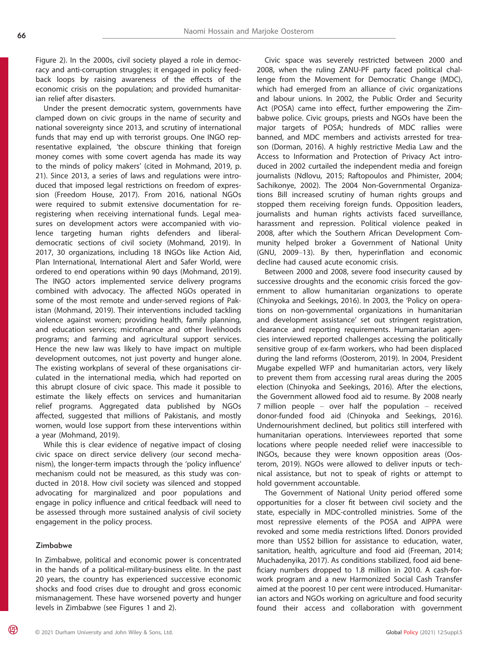Figure 2). In the 2000s, civil society played a role in democracy and anti-corruption struggles; it engaged in policy feedback loops by raising awareness of the effects of the economic crisis on the population; and provided humanitarian relief after disasters.

Under the present democratic system, governments have clamped down on civic groups in the name of security and national sovereignty since 2013, and scrutiny of international funds that may end up with terrorist groups. One INGO representative explained, 'the obscure thinking that foreign money comes with some covert agenda has made its way to the minds of policy makers' (cited in Mohmand, 2019, p. 21). Since 2013, a series of laws and regulations were introduced that imposed legal restrictions on freedom of expression (Freedom House, 2017). From 2016, national NGOs were required to submit extensive documentation for reregistering when receiving international funds. Legal measures on development actors were accompanied with violence targeting human rights defenders and liberaldemocratic sections of civil society (Mohmand, 2019). In 2017, 30 organizations, including 18 INGOs like Action Aid, Plan International, International Alert and Safer World, were ordered to end operations within 90 days (Mohmand, 2019). The INGO actors implemented service delivery programs combined with advocacy. The affected NGOs operated in some of the most remote and under-served regions of Pakistan (Mohmand, 2019). Their interventions included tackling violence against women; providing health, family planning, and education services; microfinance and other livelihoods programs; and farming and agricultural support services. Hence the new law was likely to have impact on multiple development outcomes, not just poverty and hunger alone. The existing workplans of several of these organisations circulated in the international media, which had reported on this abrupt closure of civic space. This made it possible to estimate the likely effects on services and humanitarian relief programs. Aggregated data published by NGOs affected, suggested that millions of Pakistanis, and mostly women, would lose support from these interventions within a year (Mohmand, 2019).

While this is clear evidence of negative impact of closing civic space on direct service delivery (our second mechanism), the longer-term impacts through the 'policy influence' mechanism could not be measured, as this study was conducted in 2018. How civil society was silenced and stopped advocating for marginalized and poor populations and engage in policy influence and critical feedback will need to be assessed through more sustained analysis of civil society engagement in the policy process.

#### Zimbabwe

**OP)** 

In Zimbabwe, political and economic power is concentrated in the hands of a political-military-business elite. In the past 20 years, the country has experienced successive economic shocks and food crises due to drought and gross economic mismanagement. These have worsened poverty and hunger levels in Zimbabwe (see Figures 1 and 2).

Civic space was severely restricted between 2000 and 2008, when the ruling ZANU-PF party faced political challenge from the Movement for Democratic Change (MDC), which had emerged from an alliance of civic organizations and labour unions. In 2002, the Public Order and Security Act (POSA) came into effect, further empowering the Zimbabwe police. Civic groups, priests and NGOs have been the major targets of POSA; hundreds of MDC rallies were banned, and MDC members and activists arrested for treason (Dorman, 2016). A highly restrictive Media Law and the Access to Information and Protection of Privacy Act introduced in 2002 curtailed the independent media and foreign journalists (Ndlovu, 2015; Raftopoulos and Phimister, 2004; Sachikonye, 2002). The 2004 Non-Governmental Organizations Bill increased scrutiny of human rights groups and stopped them receiving foreign funds. Opposition leaders, journalists and human rights activists faced surveillance, harassment and repression. Political violence peaked in 2008, after which the Southern African Development Community helped broker a Government of National Unity (GNU, 2009–13). By then, hyperinflation and economic decline had caused acute economic crisis.

Between 2000 and 2008, severe food insecurity caused by successive droughts and the economic crisis forced the government to allow humanitarian organizations to operate (Chinyoka and Seekings, 2016). In 2003, the 'Policy on operations on non-governmental organizations in humanitarian and development assistance' set out stringent registration, clearance and reporting requirements. Humanitarian agencies interviewed reported challenges accessing the politically sensitive group of ex-farm workers, who had been displaced during the land reforms (Oosterom, 2019). In 2004, President Mugabe expelled WFP and humanitarian actors, very likely to prevent them from accessing rural areas during the 2005 election (Chinyoka and Seekings, 2016). After the elections, the Government allowed food aid to resume. By 2008 nearly 7 million people – over half the population – received donor-funded food aid (Chinyoka and Seekings, 2016). Undernourishment declined, but politics still interfered with humanitarian operations. Interviewees reported that some locations where people needed relief were inaccessible to INGOs, because they were known opposition areas (Oosterom, 2019). NGOs were allowed to deliver inputs or technical assistance, but not to speak of rights or attempt to hold government accountable.

The Government of National Unity period offered some opportunities for a closer fit between civil society and the state, especially in MDC-controlled ministries. Some of the most repressive elements of the POSA and AIPPA were revoked and some media restrictions lifted. Donors provided more than US\$2 billion for assistance to education, water, sanitation, health, agriculture and food aid (Freeman, 2014; Muchadenyika, 2017). As conditions stabilized, food aid beneficiary numbers dropped to 1.8 million in 2010. A cash-forwork program and a new Harmonized Social Cash Transfer aimed at the poorest 10 per cent were introduced. Humanitarian actors and NGOs working on agriculture and food security found their access and collaboration with government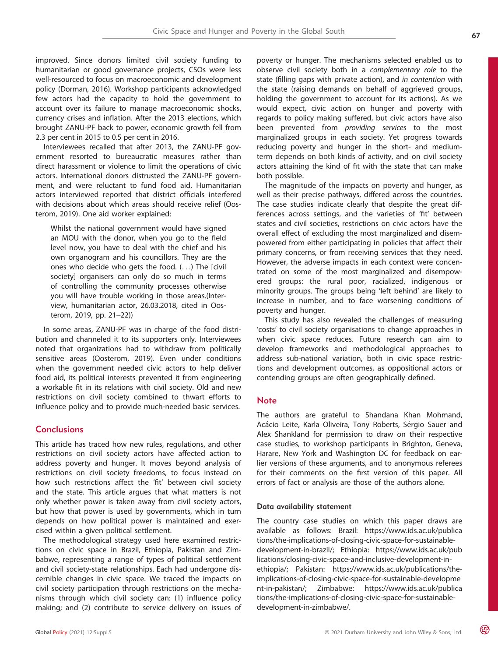improved. Since donors limited civil society funding to humanitarian or good governance projects, CSOs were less well-resourced to focus on macroeconomic and development policy (Dorman, 2016). Workshop participants acknowledged few actors had the capacity to hold the government to account over its failure to manage macroeconomic shocks, currency crises and inflation. After the 2013 elections, which brought ZANU-PF back to power, economic growth fell from 2.3 per cent in 2015 to 0.5 per cent in 2016.

Interviewees recalled that after 2013, the ZANU-PF government resorted to bureaucratic measures rather than direct harassment or violence to limit the operations of civic actors. International donors distrusted the ZANU-PF government, and were reluctant to fund food aid. Humanitarian actors interviewed reported that district officials interfered with decisions about which areas should receive relief (Oosterom, 2019). One aid worker explained:

Whilst the national government would have signed an MOU with the donor, when you go to the field level now, you have to deal with the chief and his own organogram and his councillors. They are the ones who decide who gets the food. (...) The [civil society] organisers can only do so much in terms of controlling the community processes otherwise you will have trouble working in those areas.(Interview, humanitarian actor, 26.03.2018, cited in Oosterom, 2019, pp. 21–22))

In some areas, ZANU-PF was in charge of the food distribution and channeled it to its supporters only. Interviewees noted that organizations had to withdraw from politically sensitive areas (Oosterom, 2019). Even under conditions when the government needed civic actors to help deliver food aid, its political interests prevented it from engineering a workable fit in its relations with civil society. Old and new restrictions on civil society combined to thwart efforts to influence policy and to provide much-needed basic services.

# **Conclusions**

This article has traced how new rules, regulations, and other restrictions on civil society actors have affected action to address poverty and hunger. It moves beyond analysis of restrictions on civil society freedoms, to focus instead on how such restrictions affect the 'fit' between civil society and the state. This article argues that what matters is not only whether power is taken away from civil society actors, but how that power is used by governments, which in turn depends on how political power is maintained and exercised within a given political settlement.

The methodological strategy used here examined restrictions on civic space in Brazil, Ethiopia, Pakistan and Zimbabwe, representing a range of types of political settlement and civil society-state relationships. Each had undergone discernible changes in civic space. We traced the impacts on civil society participation through restrictions on the mechanisms through which civil society can: (1) influence policy making; and (2) contribute to service delivery on issues of

poverty or hunger. The mechanisms selected enabled us to observe civil society both in a complementary role to the state (filling gaps with private action), and in contention with the state (raising demands on behalf of aggrieved groups, holding the government to account for its actions). As we would expect, civic action on hunger and poverty with regards to policy making suffered, but civic actors have also been prevented from providing services to the most marginalized groups in each society. Yet progress towards reducing poverty and hunger in the short- and mediumterm depends on both kinds of activity, and on civil society actors attaining the kind of fit with the state that can make both possible.

The magnitude of the impacts on poverty and hunger, as well as their precise pathways, differed across the countries. The case studies indicate clearly that despite the great differences across settings, and the varieties of 'fit' between states and civil societies, restrictions on civic actors have the overall effect of excluding the most marginalized and disempowered from either participating in policies that affect their primary concerns, or from receiving services that they need. However, the adverse impacts in each context were concentrated on some of the most marginalized and disempowered groups: the rural poor, racialized, indigenous or minority groups. The groups being 'left behind' are likely to increase in number, and to face worsening conditions of poverty and hunger.

This study has also revealed the challenges of measuring 'costs' to civil society organisations to change approaches in when civic space reduces. Future research can aim to develop frameworks and methodological approaches to address sub-national variation, both in civic space restrictions and development outcomes, as oppositional actors or contending groups are often geographically defined.

### **Note**

The authors are grateful to Shandana Khan Mohmand, Acácio Leite, Karla Oliveira, Tony Roberts, Sérgio Sauer and Alex Shankland for permission to draw on their respective case studies, to workshop participants in Brighton, Geneva, Harare, New York and Washington DC for feedback on earlier versions of these arguments, and to anonymous referees for their comments on the first version of this paper. All errors of fact or analysis are those of the authors alone.

# Data availability statement

The country case studies on which this paper draws are available as follows: Brazil: [https://www.ids.ac.uk/publica](https://www.ids.ac.uk/publications/the-implications-of-closing-civic-space-for-sustainable-development-in-brazil/) [tions/the-implications-of-closing-civic-space-for-sustainable](https://www.ids.ac.uk/publications/the-implications-of-closing-civic-space-for-sustainable-development-in-brazil/)[development-in-brazil/;](https://www.ids.ac.uk/publications/the-implications-of-closing-civic-space-for-sustainable-development-in-brazil/) Ethiopia: [https://www.ids.ac.uk/pub](https://www.ids.ac.uk/publications/closing-civic-space-and-inclusive-development-in-ethiopia/) [lications/closing-civic-space-and-inclusive-development-in](https://www.ids.ac.uk/publications/closing-civic-space-and-inclusive-development-in-ethiopia/)[ethiopia/;](https://www.ids.ac.uk/publications/closing-civic-space-and-inclusive-development-in-ethiopia/) Pakistan: [https://www.ids.ac.uk/publications/the](https://www.ids.ac.uk/publications/the-implications-of-closing-civic-space-for-sustainable-development-in-pakistan/)[implications-of-closing-civic-space-for-sustainable-developme](https://www.ids.ac.uk/publications/the-implications-of-closing-civic-space-for-sustainable-development-in-pakistan/) [nt-in-pakistan/;](https://www.ids.ac.uk/publications/the-implications-of-closing-civic-space-for-sustainable-development-in-pakistan/) Zimbabwe: [https://www.ids.ac.uk/publica](https://www.ids.ac.uk/publications/the-implications-of-closing-civic-space-for-sustainable-development-in-zimbabwe/) [tions/the-implications-of-closing-civic-space-for-sustainable](https://www.ids.ac.uk/publications/the-implications-of-closing-civic-space-for-sustainable-development-in-zimbabwe/)[development-in-zimbabwe/](https://www.ids.ac.uk/publications/the-implications-of-closing-civic-space-for-sustainable-development-in-zimbabwe/).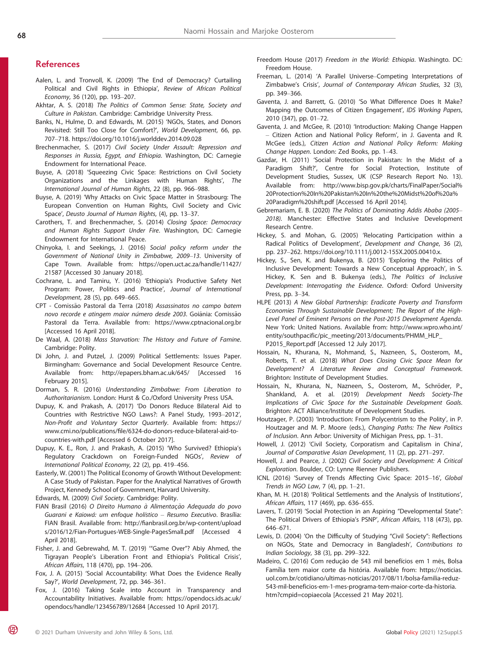# **References**

- Aalen, L. and Tronvoll, K. (2009) 'The End of Democracy? Curtailing Political and Civil Rights in Ethiopia', Review of African Political Economy, 36 (120), pp. 193–207.
- Akhtar, A. S. (2018) The Politics of Common Sense: State, Society and Culture in Pakistan. Cambridge: Cambridge University Press.
- Banks, N., Hulme, D. and Edwards, M. (2015) 'NGOs, States, and Donors Revisited: Still Too Close for Comfort?', World Development, 66, pp. 707–718.<https://doi.org/10.1016/j.worlddev.2014.09.028>
- Brechenmacher, S. (2017) Civil Society Under Assault: Repression and Responses in Russia, Egypt, and Ethiopia. Washington, DC: Carnegie Endowment for International Peace.
- Buyse, A. (2018) 'Squeezing Civic Space: Restrictions on Civil Society Organizations and the Linkages with Human Rights', The International Journal of Human Rights, 22 (8), pp. 966–988.
- Buyse, A. (2019) 'Why Attacks on Civic Space Matter in Strasbourg: The European Convention on Human Rights, Civil Society and Civic Space', Deusto Journal of Human Rights, (4), pp. 13–37.
- Carothers, T. and Brechenmacher, S. (2014) Closing Space: Democracy and Human Rights Support Under Fire. Washington, DC: Carnegie Endowment for International Peace.
- Chinyoka, I. and Seekings, J. (2016) Social policy reform under the Government of National Unity in Zimbabwe, 2009–13. University of Cape Town. Available from: [https://open.uct.ac.za/handle/11427/](https://open.uct.ac.za/handle/11427/21587) [21587](https://open.uct.ac.za/handle/11427/21587) [Accessed 30 January 2018].
- Cochrane, L. and Tamiru, Y. (2016) 'Ethiopia's Productive Safety Net Program: Power, Politics and Practice', Journal of International Development, 28 (5), pp. 649–665.
- CPT Comissão Pastoral da Terra (2018) Assassinatos no campo batem novo recorde e atingem maior número desde 2003. Goiânia: Comissão Pastoral da Terra. Available from:<https://www.cptnacional.org.br> [Accessed 16 April 2018].
- De Waal, A. (2018) Mass Starvation: The History and Future of Famine. Cambridge: Polity.
- Di John, J. and Putzel, J. (2009) Political Settlements: Issues Paper. Birmingham: Governance and Social Development Resource Centre. Available from:<http://epapers.bham.ac.uk/645/> [Accessed 16 February 2015].
- Dorman, S. R. (2016) Understanding Zimbabwe: From Liberation to Authoritarianism. London: Hurst & Co./Oxford University Press USA.
- Dupuy, K. and Prakash, A. (2017) 'Do Donors Reduce Bilateral Aid to Countries with Restrictive NGO Laws?: A Panel Study, 1993–2012', Non-Profit and Voluntary Sector Quarterly. Available from: [https://](https://www.cmi.no/publications/file/6324-do-donors-reduce-bilateral-aid-to-countries-with.pdf) www.cmi.no/publications/fi[le/6324-do-donors-reduce-bilateral-aid-to](https://www.cmi.no/publications/file/6324-do-donors-reduce-bilateral-aid-to-countries-with.pdf)[countries-with.pdf](https://www.cmi.no/publications/file/6324-do-donors-reduce-bilateral-aid-to-countries-with.pdf) [Accessed 6 October 2017].
- Dupuy, K. E., Ron, J. and Prakash, A. (2015) 'Who Survived? Ethiopia's Regulatory Crackdown on Foreign-Funded NGOs', Review of International Political Economy, 22 (2), pp. 419–456.
- Easterly, W. (2001) The Political Economy of Growth Without Development: A Case Study of Pakistan. Paper for the Analytical Narratives of Growth Project, Kennedy School of Government, Harvard University.
- Edwards, M. (2009) Civil Society. Cambridge: Polity.
- FIAN Brasil (2016) O Direito Humano à Alimentação Adequada do povo Guarani e Kaiowá: um enfoque holístico – Resumo Executivo. Brasília: FIAN Brasil. Available from: http://fi[anbrasil.org.br/wp-content/upload](http://fianbrasil.org.br/wp-content/uploads/2016/12/Fian-Portugues-WEB-Single-PagesSmall.pdf) [s/2016/12/Fian-Portugues-WEB-Single-PagesSmall.pdf](http://fianbrasil.org.br/wp-content/uploads/2016/12/Fian-Portugues-WEB-Single-PagesSmall.pdf) [Accessed 4 April 2018].
- Fisher, J. and Gebrewahd, M. T. (2019) '"Game Over"? Abiy Ahmed, the Tigrayan People's Liberation Front and Ethiopia's Political Crisis', African Affairs, 118 (470), pp. 194–206.
- Fox, J. A. (2015) 'Social Accountability: What Does the Evidence Really Say?', World Development, 72, pp. 346–361.
- Fox, J. (2016) Taking Scale into Account in Transparency and Accountability Initiatives. Available from: [https://opendocs.ids.ac.uk/](https://opendocs.ids.ac.uk/opendocs/handle/123456789/12684) [opendocs/handle/123456789/12684](https://opendocs.ids.ac.uk/opendocs/handle/123456789/12684) [Accessed 10 April 2017].
- Freedom House (2017) Freedom in the World: Ethiopia. Washingto. DC: Freedom House.
- Freeman, L. (2014) 'A Parallel Universe–Competing Interpretations of Zimbabwe's Crisis', Journal of Contemporary African Studies, 32 (3), pp. 349–366.
- Gaventa, J. and Barrett, G. (2010) 'So What Difference Does It Make? Mapping the Outcomes of Citizen Engagement', IDS Working Papers, 2010 (347), pp. 01–72.
- Gaventa, J. and McGee, R. (2010) 'Introduction: Making Change Happen – Citizen Action and National Policy Reform', in J. Gaventa and R. McGee (eds.), Citizen Action and National Policy Reform: Making Change Happen. London: Zed Books, pp. 1–43.
- Gazdar, H. (2011) 'Social Protection in Pakistan: In the Midst of a Paradigm Shift?', Centre for Social Protection, Institute of Development Studies, Sussex, UK (CSP Research Report No. 13). Available from: [http://www.bisp.gov.pk/charts/FinalPaper/Social%](http://www.bisp.gov.pk/charts/FinalPaper/Social%2520Protection%2520In%2520Pakistan%2520In%2520the%2520Midst%2520of%2520a%2520Paradigm%2520shift.pdf) [20Protection%20In%20Pakistan%20In%20the%20Midst%20of%20a%](http://www.bisp.gov.pk/charts/FinalPaper/Social%2520Protection%2520In%2520Pakistan%2520In%2520the%2520Midst%2520of%2520a%2520Paradigm%2520shift.pdf) [20Paradigm%20shift.pdf](http://www.bisp.gov.pk/charts/FinalPaper/Social%2520Protection%2520In%2520Pakistan%2520In%2520the%2520Midst%2520of%2520a%2520Paradigm%2520shift.pdf) [Accessed 16 April 2014].
- Gebremariam, E. B. (2020) The Politics of Dominating Addis Ababa (2005– 2018). Manchester: Effective States and Inclusive Development Research Centre.
- Hickey, S. and Mohan, G. (2005) 'Relocating Participation within a Radical Politics of Development', Development and Change, 36 (2), pp. 237–262.<https://doi.org/10.1111/j.0012-155X.2005.00410.x>.
- Hickey, S., Sen, K. and Bukenya, B. (2015) 'Exploring the Politics of Inclusive Development: Towards a New Conceptual Approach', in S. Hickey, K. Sen and B. Bukenya (eds.), The Politics of Inclusive Development: Interrogating the Evidence. Oxford: Oxford University Press, pp. 3–34.
- HLPE (2013) A New Global Partnership: Eradicate Poverty and Transform Economies Through Sustainable Development; The Report of the High-Level Panel of Eminent Persons on the Post-2015 Development Agenda. New York: United Nations. Available from: [http://www.wpro.who.int/](http://www.wpro.who.int/entity/southpacific/pic_meeting/2013/documents/PHMM_HLP_P2015_Report.pdf) [entity/southpacific/pic\\_meeting/2013/documents/PHMM\\_HLP\\_](http://www.wpro.who.int/entity/southpacific/pic_meeting/2013/documents/PHMM_HLP_P2015_Report.pdf) P2015 Report.pdf [Accessed 12 July 2017].
- Hossain, N., Khurana, N., Mohmand, S., Nazneen, S., Oosterom, M., Roberts, T. et al. (2018) What Does Closing Civic Space Mean for Development? A Literature Review and Conceptual Framework. Brighton: Institute of Development Studies.
- Hossain, N., Khurana, N., Nazneen, S., Oosterom, M., Schröder, P., Shankland, A. et al. (2019) Development Needs Society-The Implications of Civic Space for the Sustainable Development Goals. Brighton: ACT Alliance/Institute of Development Studies.
- Houtzager, P. (2003) 'Introduction: From Polycentrism to the Polity', in P. Houtzager and M. P. Moore (eds.), Changing Paths: The New Politics of Inclusion. Ann Arbor: University of Michigan Press, pp. 1–31.
- Howell, J. (2012) 'Civil Society, Corporatism and Capitalism in China', Journal of Comparative Asian Development, 11 (2), pp. 271–297.
- Howell, J. and Pearce, J. (2002) Civil Society and Development: A Critical Exploration. Boulder, CO: Lynne Rienner Publishers.
- ICNL (2016) 'Survey of Trends Affecting Civic Space: 2015–16', Global Trends in NGO Law,  $7(4)$ , pp.  $1-21$ .
- Khan, M. H. (2018) 'Political Settlements and the Analysis of Institutions', African Affairs, 117 (469), pp. 636–655.
- Lavers, T. (2019) 'Social Protection in an Aspiring "Developmental State": The Political Drivers of Ethiopia's PSNP', African Affairs, 118 (473), pp. 646–671.
- Lewis, D. (2004) 'On the Difficulty of Studying "Civil Society": Reflections on NGOs, State and Democracy in Bangladesh', Contributions to Indian Sociology, 38 (3), pp. 299–322.
- Madeiro, C. (2016) Com redução de 543 mil benefícios em 1 mês, Bolsa Família tem maior corte da história. Available from: [https://noticias.](https://noticias.uol.com.br/cotidiano/ultimas-noticias/2017/08/11/bolsa-familia-reduz-543-mil-beneficios-em-1-mes-programa-tem-maior-corte-da-historia.htm?cmpid=copiaecola) [uol.com.br/cotidiano/ultimas-noticias/2017/08/11/bolsa-familia-reduz-](https://noticias.uol.com.br/cotidiano/ultimas-noticias/2017/08/11/bolsa-familia-reduz-543-mil-beneficios-em-1-mes-programa-tem-maior-corte-da-historia.htm?cmpid=copiaecola)[543-mil-beneficios-em-1-mes-programa-tem-maior-corte-da-historia.](https://noticias.uol.com.br/cotidiano/ultimas-noticias/2017/08/11/bolsa-familia-reduz-543-mil-beneficios-em-1-mes-programa-tem-maior-corte-da-historia.htm?cmpid=copiaecola) [htm?cmpid=copiaecola](https://noticias.uol.com.br/cotidiano/ultimas-noticias/2017/08/11/bolsa-familia-reduz-543-mil-beneficios-em-1-mes-programa-tem-maior-corte-da-historia.htm?cmpid=copiaecola) [Accessed 21 May 2021].